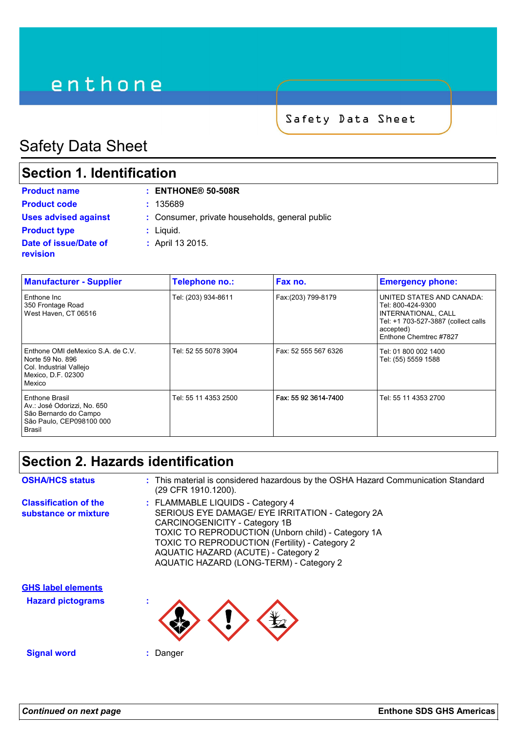# enthone

Safety Data Sheet

# Safety Data Sheet

# **Section 1. Identification**

| <b>Product name</b>                      | $:$ ENTHONE® 50-508R                           |
|------------------------------------------|------------------------------------------------|
| <b>Product code</b>                      | : 135689                                       |
| <b>Uses advised against</b>              | : Consumer, private households, general public |
| <b>Product type</b>                      | $:$ Liquid.                                    |
| Date of issue/Date of<br><b>revision</b> | : April 13 2015.                               |

| <b>Manufacturer - Supplier</b>                                                                                   | Telephone no.:       | Fax no.              | <b>Emergency phone:</b>                                                                                                                             |
|------------------------------------------------------------------------------------------------------------------|----------------------|----------------------|-----------------------------------------------------------------------------------------------------------------------------------------------------|
| Enthone Inc<br>350 Frontage Road<br>West Haven, CT 06516                                                         | Tel: (203) 934-8611  | Fax:(203) 799-8179   | UNITED STATES AND CANADA:<br>Tel: 800-424-9300<br>INTERNATIONAL, CALL<br>Tel: +1 703-527-3887 (collect calls<br>accepted)<br>Enthone Chemtrec #7827 |
| Enthone OMI deMexico S.A. de C.V.<br>Norte 59 No. 896<br>Col. Industrial Vallejo<br>Mexico, D.F. 02300<br>Mexico | Tel: 52 55 5078 3904 | Fax: 52 555 567 6326 | Tel: 01 800 002 1400<br>Tel: (55) 5559 1588                                                                                                         |
| Enthone Brasil<br>Av.: José Odorizzi, No. 650<br>São Bernardo do Campo<br>São Paulo, CEP098100 000<br>Brasil     | Tel: 55 11 4353 2500 | Fax: 55 92 3614-7400 | Tel: 55 11 4353 2700                                                                                                                                |

# **Section 2. Hazards identification**

| <b>OSHA/HCS status</b>                               | : This material is considered hazardous by the OSHA Hazard Communication Standard<br>(29 CFR 1910.1200).                                                                                                                                                                                                               |
|------------------------------------------------------|------------------------------------------------------------------------------------------------------------------------------------------------------------------------------------------------------------------------------------------------------------------------------------------------------------------------|
| <b>Classification of the</b><br>substance or mixture | : FLAMMABLE LIQUIDS - Category 4<br>SERIOUS EYE DAMAGE/ EYE IRRITATION - Category 2A<br>CARCINOGENICITY - Category 1B<br><b>TOXIC TO REPRODUCTION (Unborn child) - Category 1A</b><br>TOXIC TO REPRODUCTION (Fertility) - Category 2<br>AQUATIC HAZARD (ACUTE) - Category 2<br>AQUATIC HAZARD (LONG-TERM) - Category 2 |
| <b>GHS label elements</b>                            |                                                                                                                                                                                                                                                                                                                        |
| <b>Hazard pictograms</b>                             |                                                                                                                                                                                                                                                                                                                        |

**Signal word :** Danger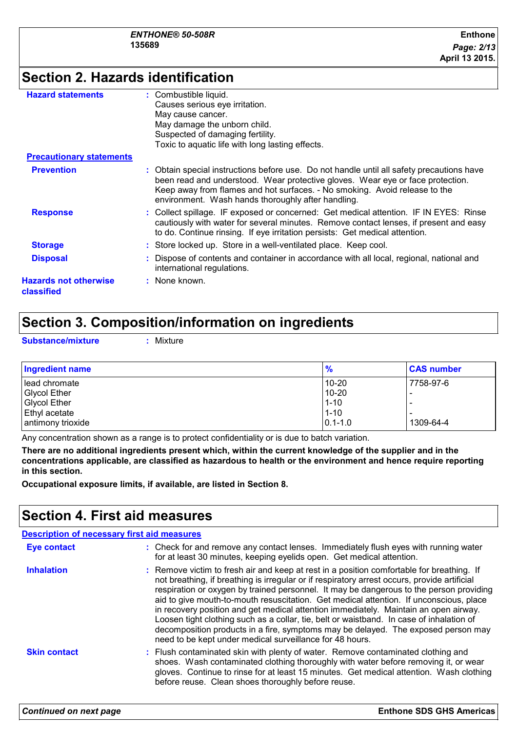# **Section 2. Hazards identification**

| <b>Hazard statements</b>                   | Combustible liquid.                                                                                                                                                                                                                                                                                             |
|--------------------------------------------|-----------------------------------------------------------------------------------------------------------------------------------------------------------------------------------------------------------------------------------------------------------------------------------------------------------------|
|                                            | Causes serious eye irritation.                                                                                                                                                                                                                                                                                  |
|                                            | May cause cancer.                                                                                                                                                                                                                                                                                               |
|                                            | May damage the unborn child.                                                                                                                                                                                                                                                                                    |
|                                            | Suspected of damaging fertility.                                                                                                                                                                                                                                                                                |
|                                            | Toxic to aquatic life with long lasting effects.                                                                                                                                                                                                                                                                |
| <b>Precautionary statements</b>            |                                                                                                                                                                                                                                                                                                                 |
| <b>Prevention</b>                          | : Obtain special instructions before use. Do not handle until all safety precautions have<br>been read and understood. Wear protective gloves. Wear eye or face protection.<br>Keep away from flames and hot surfaces. - No smoking. Avoid release to the<br>environment. Wash hands thoroughly after handling. |
| <b>Response</b>                            | : Collect spillage. IF exposed or concerned: Get medical attention. IF IN EYES: Rinse<br>cautiously with water for several minutes. Remove contact lenses, if present and easy<br>to do. Continue rinsing. If eye irritation persists: Get medical attention.                                                   |
| <b>Storage</b>                             | : Store locked up. Store in a well-ventilated place. Keep cool.                                                                                                                                                                                                                                                 |
| <b>Disposal</b>                            | Dispose of contents and container in accordance with all local, regional, national and<br>international regulations.                                                                                                                                                                                            |
| <b>Hazards not otherwise</b><br>classified | : None known.                                                                                                                                                                                                                                                                                                   |
|                                            |                                                                                                                                                                                                                                                                                                                 |

# **Section 3. Composition/information on ingredients**

**Substance/mixture :** Mixture

| <b>Ingredient name</b> | $\frac{9}{6}$ | <b>CAS number</b> |
|------------------------|---------------|-------------------|
| l lead chromate        | 10-20         | 7758-97-6         |
| Glycol Ether           | $10 - 20$     |                   |
| <b>Glycol Ether</b>    | $1 - 10$      |                   |
| <b>Ethyl acetate</b>   | $1 - 10$      |                   |
| antimony trioxide      | $10.1 - 1.0$  | 1309-64-4         |

Any concentration shown as a range is to protect confidentiality or is due to batch variation.

**There are no additional ingredients present which, within the current knowledge of the supplier and in the concentrations applicable, are classified as hazardous to health or the environment and hence require reporting in this section.**

**Occupational exposure limits, if available, are listed in Section 8.**

## **Section 4. First aid measures**

| <b>Description of necessary first aid measures</b> |                                                                                                                                                                                                                                                                                                                                                                                                                                                                                                                                                                                                                                                                                                                     |  |
|----------------------------------------------------|---------------------------------------------------------------------------------------------------------------------------------------------------------------------------------------------------------------------------------------------------------------------------------------------------------------------------------------------------------------------------------------------------------------------------------------------------------------------------------------------------------------------------------------------------------------------------------------------------------------------------------------------------------------------------------------------------------------------|--|
| <b>Eye contact</b>                                 | : Check for and remove any contact lenses. Immediately flush eyes with running water<br>for at least 30 minutes, keeping eyelids open. Get medical attention.                                                                                                                                                                                                                                                                                                                                                                                                                                                                                                                                                       |  |
| <b>Inhalation</b>                                  | : Remove victim to fresh air and keep at rest in a position comfortable for breathing. If<br>not breathing, if breathing is irregular or if respiratory arrest occurs, provide artificial<br>respiration or oxygen by trained personnel. It may be dangerous to the person providing<br>aid to give mouth-to-mouth resuscitation. Get medical attention. If unconscious, place<br>in recovery position and get medical attention immediately. Maintain an open airway.<br>Loosen tight clothing such as a collar, tie, belt or waistband. In case of inhalation of<br>decomposition products in a fire, symptoms may be delayed. The exposed person may<br>need to be kept under medical surveillance for 48 hours. |  |
| <b>Skin contact</b>                                | : Flush contaminated skin with plenty of water. Remove contaminated clothing and<br>shoes. Wash contaminated clothing thoroughly with water before removing it, or wear<br>gloves. Continue to rinse for at least 15 minutes. Get medical attention. Wash clothing<br>before reuse. Clean shoes thoroughly before reuse.                                                                                                                                                                                                                                                                                                                                                                                            |  |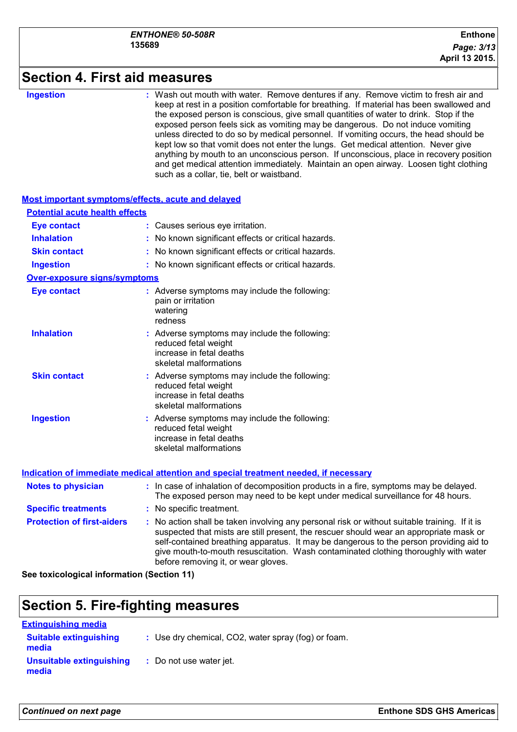#### **Section 4. First aid measures** Wash out mouth with water. Remove dentures if any. Remove victim to fresh air and keep at rest in a position comfortable for breathing. If material has been swallowed and the exposed person is conscious, give small quantities of water to drink. Stop if the exposed person feels sick as vomiting may be dangerous. Do not induce vomiting unless directed to do so by medical personnel. If vomiting occurs, the head should be kept low so that vomit does not enter the lungs. Get medical attention. Never give anything by mouth to an unconscious person. If unconscious, place in recovery position and get medical attention immediately. Maintain an open airway. Loosen tight clothing such as a collar, tie, belt or waistband. **Ingestion : Notes to physician <b>:** In case of inhalation of decomposition products in a fire, symptoms may be delayed. The exposed person may need to be kept under medical surveillance for 48 hours. **Most important symptoms/effects, acute and delayed Inhalation :** No known significant effects or critical hazards. **Ingestion :** No known significant effects or critical hazards. **Skin contact :** No known significant effects or critical hazards. **Eye contact :** Causes serious eye irritation. **Over-exposure signs/symptoms Skin contact Ingestion Inhalation Action Contract Symptoms may include the following:**  $\blacksquare$ reduced fetal weight increase in fetal deaths skeletal malformations Adverse symptoms may include the following: **:** reduced fetal weight increase in fetal deaths skeletal malformations Adverse symptoms may include the following: **:** reduced fetal weight increase in fetal deaths skeletal malformations **Eye contact :** Adverse symptoms may include the following: pain or irritation watering redness **Potential acute health effects Indication of immediate medical attention and special treatment needed, if necessary**

| <b>Specific treatments</b> | : No specific treatment. |
|----------------------------|--------------------------|
|----------------------------|--------------------------|

**Protection of first-aiders :** No action shall be taken involving any personal risk or without suitable training. If it is suspected that mists are still present, the rescuer should wear an appropriate mask or self-contained breathing apparatus. It may be dangerous to the person providing aid to give mouth-to-mouth resuscitation. Wash contaminated clothing thoroughly with water before removing it, or wear gloves.

**See toxicological information (Section 11)**

# **Section 5. Fire-fighting measures**

| <b>Extinguishing media</b>             |                                                     |
|----------------------------------------|-----------------------------------------------------|
| <b>Suitable extinguishing</b><br>media | : Use dry chemical, CO2, water spray (fog) or foam. |
| Unsuitable extinguishing<br>media      | : Do not use water jet.                             |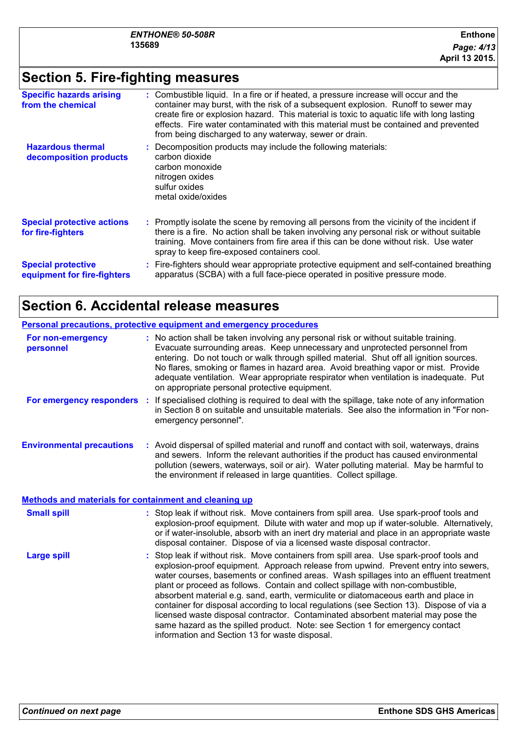# **Section 5. Fire-fighting measures**

| <b>Specific hazards arising</b><br>from the chemical     | : Combustible liquid. In a fire or if heated, a pressure increase will occur and the<br>container may burst, with the risk of a subsequent explosion. Runoff to sewer may<br>create fire or explosion hazard. This material is toxic to aquatic life with long lasting<br>effects. Fire water contaminated with this material must be contained and prevented<br>from being discharged to any waterway, sewer or drain. |
|----------------------------------------------------------|-------------------------------------------------------------------------------------------------------------------------------------------------------------------------------------------------------------------------------------------------------------------------------------------------------------------------------------------------------------------------------------------------------------------------|
| <b>Hazardous thermal</b><br>decomposition products       | Decomposition products may include the following materials:<br>carbon dioxide<br>carbon monoxide<br>nitrogen oxides<br>sulfur oxides<br>metal oxide/oxides                                                                                                                                                                                                                                                              |
| <b>Special protective actions</b><br>for fire-fighters   | : Promptly isolate the scene by removing all persons from the vicinity of the incident if<br>there is a fire. No action shall be taken involving any personal risk or without suitable<br>training. Move containers from fire area if this can be done without risk. Use water<br>spray to keep fire-exposed containers cool.                                                                                           |
| <b>Special protective</b><br>equipment for fire-fighters | Fire-fighters should wear appropriate protective equipment and self-contained breathing<br>apparatus (SCBA) with a full face-piece operated in positive pressure mode.                                                                                                                                                                                                                                                  |

# **Section 6. Accidental release measures**

|                                                              | <b>Personal precautions, protective equipment and emergency procedures</b>                                                                                                                                                                                                                                                                                                                                                                                                                                                                                                                                                                                                                                                                                         |
|--------------------------------------------------------------|--------------------------------------------------------------------------------------------------------------------------------------------------------------------------------------------------------------------------------------------------------------------------------------------------------------------------------------------------------------------------------------------------------------------------------------------------------------------------------------------------------------------------------------------------------------------------------------------------------------------------------------------------------------------------------------------------------------------------------------------------------------------|
| For non-emergency<br>personnel                               | : No action shall be taken involving any personal risk or without suitable training.<br>Evacuate surrounding areas. Keep unnecessary and unprotected personnel from<br>entering. Do not touch or walk through spilled material. Shut off all ignition sources.<br>No flares, smoking or flames in hazard area. Avoid breathing vapor or mist. Provide<br>adequate ventilation. Wear appropriate respirator when ventilation is inadequate. Put<br>on appropriate personal protective equipment.                                                                                                                                                                                                                                                                    |
| For emergency responders :                                   | If specialised clothing is required to deal with the spillage, take note of any information<br>in Section 8 on suitable and unsuitable materials. See also the information in "For non-<br>emergency personnel".                                                                                                                                                                                                                                                                                                                                                                                                                                                                                                                                                   |
| <b>Environmental precautions</b>                             | : Avoid dispersal of spilled material and runoff and contact with soil, waterways, drains<br>and sewers. Inform the relevant authorities if the product has caused environmental<br>pollution (sewers, waterways, soil or air). Water polluting material. May be harmful to<br>the environment if released in large quantities. Collect spillage.                                                                                                                                                                                                                                                                                                                                                                                                                  |
| <b>Methods and materials for containment and cleaning up</b> |                                                                                                                                                                                                                                                                                                                                                                                                                                                                                                                                                                                                                                                                                                                                                                    |
| <b>Small spill</b>                                           | : Stop leak if without risk. Move containers from spill area. Use spark-proof tools and<br>explosion-proof equipment. Dilute with water and mop up if water-soluble. Alternatively,<br>or if water-insoluble, absorb with an inert dry material and place in an appropriate waste<br>disposal container. Dispose of via a licensed waste disposal contractor.                                                                                                                                                                                                                                                                                                                                                                                                      |
| <b>Large spill</b>                                           | Stop leak if without risk. Move containers from spill area. Use spark-proof tools and<br>explosion-proof equipment. Approach release from upwind. Prevent entry into sewers,<br>water courses, basements or confined areas. Wash spillages into an effluent treatment<br>plant or proceed as follows. Contain and collect spillage with non-combustible,<br>absorbent material e.g. sand, earth, vermiculite or diatomaceous earth and place in<br>container for disposal according to local regulations (see Section 13). Dispose of via a<br>licensed waste disposal contractor. Contaminated absorbent material may pose the<br>same hazard as the spilled product. Note: see Section 1 for emergency contact<br>information and Section 13 for waste disposal. |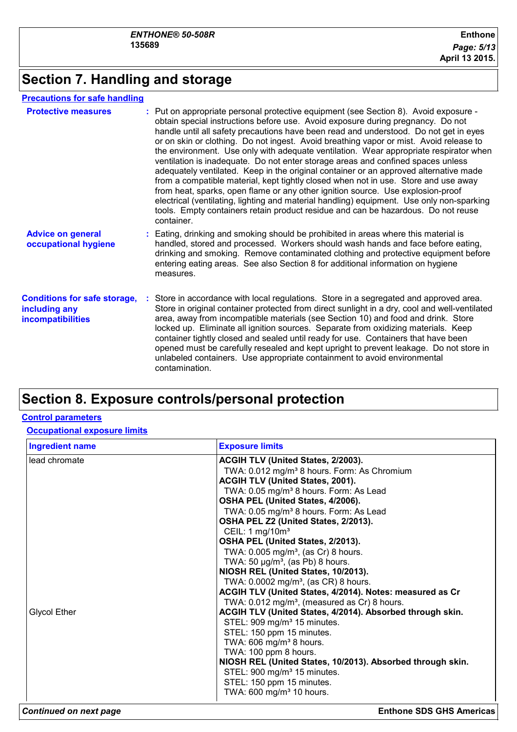# **Section 7. Handling and storage**

#### **Precautions for safe handling**

| <b>Protective measures</b>                                                       | : Put on appropriate personal protective equipment (see Section 8). Avoid exposure -<br>obtain special instructions before use. Avoid exposure during pregnancy. Do not<br>handle until all safety precautions have been read and understood. Do not get in eyes<br>or on skin or clothing. Do not ingest. Avoid breathing vapor or mist. Avoid release to<br>the environment. Use only with adequate ventilation. Wear appropriate respirator when<br>ventilation is inadequate. Do not enter storage areas and confined spaces unless<br>adequately ventilated. Keep in the original container or an approved alternative made<br>from a compatible material, kept tightly closed when not in use. Store and use away<br>from heat, sparks, open flame or any other ignition source. Use explosion-proof<br>electrical (ventilating, lighting and material handling) equipment. Use only non-sparking<br>tools. Empty containers retain product residue and can be hazardous. Do not reuse<br>container. |
|----------------------------------------------------------------------------------|------------------------------------------------------------------------------------------------------------------------------------------------------------------------------------------------------------------------------------------------------------------------------------------------------------------------------------------------------------------------------------------------------------------------------------------------------------------------------------------------------------------------------------------------------------------------------------------------------------------------------------------------------------------------------------------------------------------------------------------------------------------------------------------------------------------------------------------------------------------------------------------------------------------------------------------------------------------------------------------------------------|
| <b>Advice on general</b><br>occupational hygiene                                 | : Eating, drinking and smoking should be prohibited in areas where this material is<br>handled, stored and processed. Workers should wash hands and face before eating,<br>drinking and smoking. Remove contaminated clothing and protective equipment before<br>entering eating areas. See also Section 8 for additional information on hygiene<br>measures.                                                                                                                                                                                                                                                                                                                                                                                                                                                                                                                                                                                                                                              |
| <b>Conditions for safe storage,</b><br>including any<br><b>incompatibilities</b> | Store in accordance with local regulations. Store in a segregated and approved area.<br>Store in original container protected from direct sunlight in a dry, cool and well-ventilated<br>area, away from incompatible materials (see Section 10) and food and drink. Store<br>locked up. Eliminate all ignition sources. Separate from oxidizing materials. Keep<br>container tightly closed and sealed until ready for use. Containers that have been<br>opened must be carefully resealed and kept upright to prevent leakage. Do not store in<br>unlabeled containers. Use appropriate containment to avoid environmental<br>contamination.                                                                                                                                                                                                                                                                                                                                                             |

# **Section 8. Exposure controls/personal protection**

#### **Control parameters**

#### **Occupational exposure limits**

| <b>Ingredient name</b> | <b>Exposure limits</b>                                     |
|------------------------|------------------------------------------------------------|
| lead chromate          | ACGIH TLV (United States, 2/2003).                         |
|                        | TWA: 0.012 mg/m <sup>3</sup> 8 hours. Form: As Chromium    |
|                        | ACGIH TLV (United States, 2001).                           |
|                        | TWA: 0.05 mg/m <sup>3</sup> 8 hours. Form: As Lead         |
|                        | OSHA PEL (United States, 4/2006).                          |
|                        | TWA: 0.05 mg/m <sup>3</sup> 8 hours. Form: As Lead         |
|                        | OSHA PEL Z2 (United States, 2/2013).                       |
|                        | CEIL: 1 mg/10m <sup>3</sup>                                |
|                        | OSHA PEL (United States, 2/2013).                          |
|                        | TWA: $0.005$ mg/m <sup>3</sup> , (as Cr) 8 hours.          |
|                        | TWA: 50 $\mu$ g/m <sup>3</sup> , (as Pb) 8 hours.          |
|                        | NIOSH REL (United States, 10/2013).                        |
|                        | TWA: 0.0002 mg/m <sup>3</sup> , (as CR) 8 hours.           |
|                        | ACGIH TLV (United States, 4/2014). Notes: measured as Cr   |
|                        | TWA: 0.012 mg/m <sup>3</sup> , (measured as Cr) 8 hours.   |
| <b>Glycol Ether</b>    | ACGIH TLV (United States, 4/2014). Absorbed through skin.  |
|                        | STEL: 909 mg/m <sup>3</sup> 15 minutes.                    |
|                        | STEL: 150 ppm 15 minutes.                                  |
|                        | TWA: 606 mg/m <sup>3</sup> 8 hours.                        |
|                        | TWA: 100 ppm 8 hours.                                      |
|                        | NIOSH REL (United States, 10/2013). Absorbed through skin. |
|                        | STEL: 900 mg/m <sup>3</sup> 15 minutes.                    |
|                        | STEL: 150 ppm 15 minutes.                                  |
|                        | TWA: 600 mg/m <sup>3</sup> 10 hours.                       |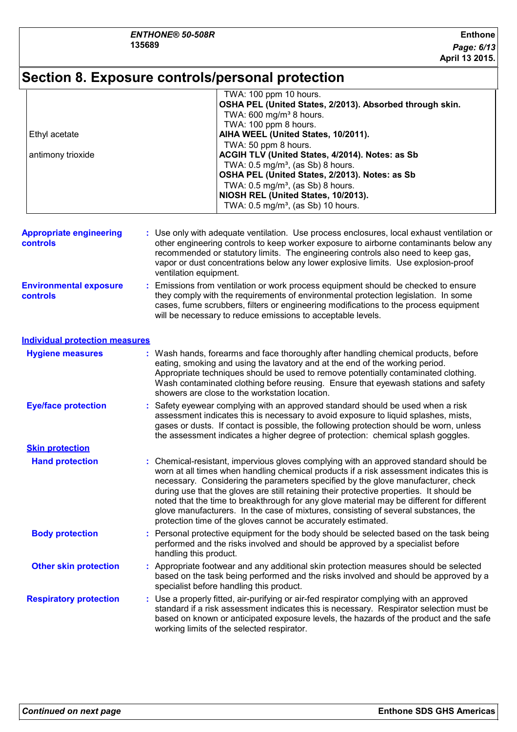# **Section 8. Exposure controls/personal protection**

|                   | TWA: 100 ppm 10 hours.                                   |
|-------------------|----------------------------------------------------------|
|                   | OSHA PEL (United States, 2/2013). Absorbed through skin. |
|                   | TWA: $600 \text{ mg/m}^3$ 8 hours.                       |
|                   | TWA: 100 ppm 8 hours.                                    |
| Ethyl acetate     | AIHA WEEL (United States, 10/2011).                      |
|                   | TWA: 50 ppm 8 hours.                                     |
| antimony trioxide | ACGIH TLV (United States, 4/2014). Notes: as Sb          |
|                   | TWA: $0.5 \text{ mg/m}^3$ , (as Sb) 8 hours.             |
|                   | OSHA PEL (United States, 2/2013). Notes: as Sb           |
|                   | TWA: $0.5 \text{ mg/m}^3$ , (as Sb) 8 hours.             |
|                   | NIOSH REL (United States, 10/2013).                      |
|                   | TWA: 0.5 mg/m <sup>3</sup> , (as Sb) 10 hours.           |

| <b>Appropriate engineering</b><br><b>controls</b> | : Use only with adequate ventilation. Use process enclosures, local exhaust ventilation or<br>other engineering controls to keep worker exposure to airborne contaminants below any<br>recommended or statutory limits. The engineering controls also need to keep gas,<br>vapor or dust concentrations below any lower explosive limits. Use explosion-proof<br>ventilation equipment. |
|---------------------------------------------------|-----------------------------------------------------------------------------------------------------------------------------------------------------------------------------------------------------------------------------------------------------------------------------------------------------------------------------------------------------------------------------------------|
| <b>Environmental exposure</b><br><b>controls</b>  | : Emissions from ventilation or work process equipment should be checked to ensure<br>they comply with the requirements of environmental protection legislation. In some<br>cases, fume scrubbers, filters or engineering modifications to the process equipment                                                                                                                        |

will be necessary to reduce emissions to acceptable levels.

#### **Individual protection measures**

| <b>Hygiene measures</b>       | showers are close to the workstation location. | : Wash hands, forearms and face thoroughly after handling chemical products, before<br>eating, smoking and using the lavatory and at the end of the working period.<br>Appropriate techniques should be used to remove potentially contaminated clothing.<br>Wash contaminated clothing before reusing. Ensure that eyewash stations and safety                                                                                                                                                                                                                                                                        |
|-------------------------------|------------------------------------------------|------------------------------------------------------------------------------------------------------------------------------------------------------------------------------------------------------------------------------------------------------------------------------------------------------------------------------------------------------------------------------------------------------------------------------------------------------------------------------------------------------------------------------------------------------------------------------------------------------------------------|
| <b>Eye/face protection</b>    |                                                | : Safety eyewear complying with an approved standard should be used when a risk<br>assessment indicates this is necessary to avoid exposure to liquid splashes, mists,<br>gases or dusts. If contact is possible, the following protection should be worn, unless<br>the assessment indicates a higher degree of protection: chemical splash goggles.                                                                                                                                                                                                                                                                  |
| <b>Skin protection</b>        |                                                |                                                                                                                                                                                                                                                                                                                                                                                                                                                                                                                                                                                                                        |
| <b>Hand protection</b>        |                                                | : Chemical-resistant, impervious gloves complying with an approved standard should be<br>worn at all times when handling chemical products if a risk assessment indicates this is<br>necessary. Considering the parameters specified by the glove manufacturer, check<br>during use that the gloves are still retaining their protective properties. It should be<br>noted that the time to breakthrough for any glove material may be different for different<br>glove manufacturers. In the case of mixtures, consisting of several substances, the<br>protection time of the gloves cannot be accurately estimated. |
| <b>Body protection</b>        | handling this product.                         | : Personal protective equipment for the body should be selected based on the task being<br>performed and the risks involved and should be approved by a specialist before                                                                                                                                                                                                                                                                                                                                                                                                                                              |
| <b>Other skin protection</b>  | specialist before handling this product.       | : Appropriate footwear and any additional skin protection measures should be selected<br>based on the task being performed and the risks involved and should be approved by a                                                                                                                                                                                                                                                                                                                                                                                                                                          |
| <b>Respiratory protection</b> | working limits of the selected respirator.     | : Use a properly fitted, air-purifying or air-fed respirator complying with an approved<br>standard if a risk assessment indicates this is necessary. Respirator selection must be<br>based on known or anticipated exposure levels, the hazards of the product and the safe                                                                                                                                                                                                                                                                                                                                           |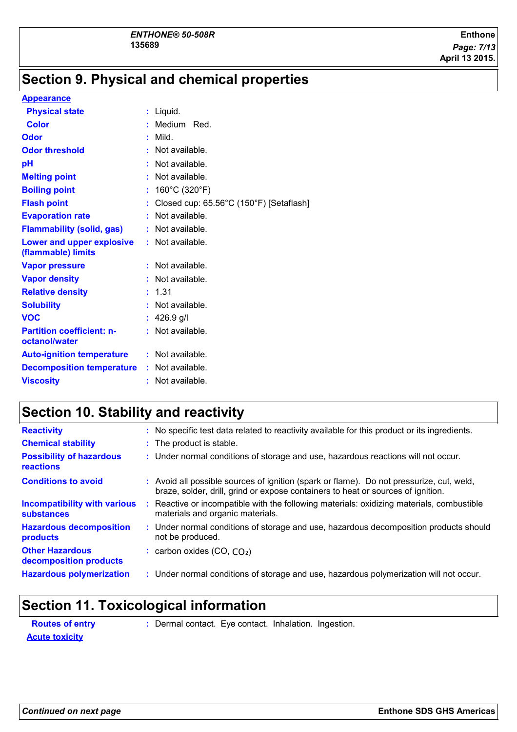# **Section 9. Physical and chemical properties**

#### **Appearance**

| <b>Physical state</b>                             | : Liquid.                               |
|---------------------------------------------------|-----------------------------------------|
| <b>Color</b>                                      | : Medium Red.                           |
| Odor                                              | Mild.                                   |
| <b>Odor threshold</b>                             | : Not available.                        |
| рH                                                | : Not available.                        |
| <b>Melting point</b>                              | : Not available.                        |
| <b>Boiling point</b>                              | : $160^{\circ}$ C (320 $^{\circ}$ F)    |
| <b>Flash point</b>                                | Closed cup: 65.56°C (150°F) [Setaflash] |
| <b>Evaporation rate</b>                           | : Not available.                        |
| <b>Flammability (solid, gas)</b>                  | : Not available.                        |
| Lower and upper explosive<br>(flammable) limits   | $:$ Not available.                      |
| <b>Vapor pressure</b>                             | : Not available.                        |
| <b>Vapor density</b>                              | : Not available.                        |
| <b>Relative density</b>                           | : 1.31                                  |
| <b>Solubility</b>                                 | : Not available.                        |
| <b>VOC</b>                                        | : $426.9$ g/l                           |
| <b>Partition coefficient: n-</b><br>octanol/water | $:$ Not available.                      |
| <b>Auto-ignition temperature</b>                  | : Not available.                        |
| <b>Decomposition temperature</b>                  | $:$ Not available.                      |
| <b>Viscosity</b>                                  | : Not available.                        |

# **Section 10. Stability and reactivity**

| <b>Reactivity</b>                                        |    | : No specific test data related to reactivity available for this product or its ingredients.                                                                                 |
|----------------------------------------------------------|----|------------------------------------------------------------------------------------------------------------------------------------------------------------------------------|
| <b>Chemical stability</b>                                |    | : The product is stable.                                                                                                                                                     |
| <b>Possibility of hazardous</b><br>reactions             |    | : Under normal conditions of storage and use, hazardous reactions will not occur.                                                                                            |
| <b>Conditions to avoid</b>                               |    | : Avoid all possible sources of ignition (spark or flame). Do not pressurize, cut, weld,<br>braze, solder, drill, grind or expose containers to heat or sources of ignition. |
| <b>Incompatibility with various</b><br><b>substances</b> | ÷. | Reactive or incompatible with the following materials: oxidizing materials, combustible<br>materials and organic materials.                                                  |
| <b>Hazardous decomposition</b><br>products               |    | : Under normal conditions of storage and use, hazardous decomposition products should<br>not be produced.                                                                    |
| <b>Other Hazardous</b><br>decomposition products         |    | : carbon oxides $(CO, CO2)$                                                                                                                                                  |
| <b>Hazardous polymerization</b>                          |    | : Under normal conditions of storage and use, hazardous polymerization will not occur.                                                                                       |
|                                                          |    |                                                                                                                                                                              |

# **Section 11. Toxicological information**

| <b>Routes of entry</b> | : Dermal contact. Eye contact. Inhalation. Ingestion. |  |  |
|------------------------|-------------------------------------------------------|--|--|
| <b>Acute toxicity</b>  |                                                       |  |  |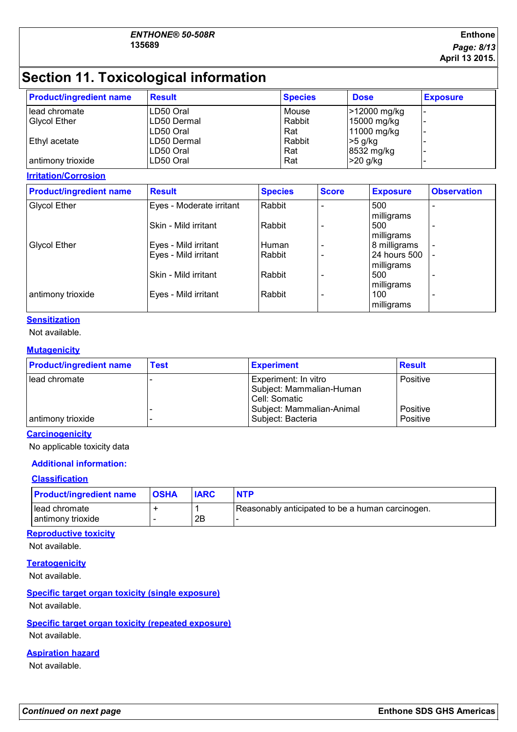#### **Enthone** *Page: 8/13* **April 13 2015.**

# **Section 11. Toxicological information**

| <b>Product/ingredient name</b> | <b>Result</b> | <b>Species</b> | <b>Dose</b>  | <b>Exposure</b> |
|--------------------------------|---------------|----------------|--------------|-----------------|
| lead chromate                  | LD50 Oral     | Mouse          | >12000 mg/kg |                 |
| <b>Glycol Ether</b>            | ILD50 Dermal  | Rabbit         | 15000 mg/kg  |                 |
|                                | ILD50 Oral    | Rat            | 11000 mg/kg  |                 |
| Ethyl acetate                  | ILD50 Dermal  | Rabbit         | $>5$ g/kg    |                 |
|                                | ILD50 Oral    | Rat            | 8532 mg/kg   |                 |
| antimony trioxide              | LD50 Oral     | Rat            | $>20$ g/kg   |                 |

**Irritation/Corrosion**

| <b>Product/ingredient name</b> | <b>Result</b>            | <b>Species</b> | <b>Score</b> | <b>Exposure</b>                 | <b>Observation</b>       |
|--------------------------------|--------------------------|----------------|--------------|---------------------------------|--------------------------|
| <b>Glycol Ether</b>            | Eyes - Moderate irritant | Rabbit         |              | 500                             | ٠                        |
|                                | Skin - Mild irritant     | Rabbit         |              | milligrams<br>500<br>milligrams | ٠                        |
| <b>Glycol Ether</b>            | Eyes - Mild irritant     | Human          |              | 8 milligrams                    | $\blacksquare$           |
|                                | Eyes - Mild irritant     | Rabbit         |              | 24 hours 500<br>milligrams      |                          |
|                                | Skin - Mild irritant     | Rabbit         |              | 500<br>milligrams               | ۰                        |
| antimony trioxide              | Eyes - Mild irritant     | Rabbit         |              | 100<br>milligrams               | $\overline{\phantom{0}}$ |

### **Sensitization**

### Not available.

#### **Mutagenicity**

| <b>Product/ingredient name</b> | <b>Test</b> | <b>Experiment</b>                                                   | <b>Result</b>        |
|--------------------------------|-------------|---------------------------------------------------------------------|----------------------|
| l lead chromate                |             | Experiment: In vitro<br>Subject: Mammalian-Human<br>l Cell: Somatic | Positive             |
| antimony trioxide              |             | Subject: Mammalian-Animal<br>Subject: Bacteria                      | Positive<br>Positive |

#### **Carcinogenicity**

No applicable toxicity data

#### **Additional information:**

#### **Classification**

| <b>Product/ingredient name</b>     | <b>OSHA</b> | <b>IARC</b> | <b>NTP</b>                                       |
|------------------------------------|-------------|-------------|--------------------------------------------------|
| Head chromate<br>antimony trioxide |             | 2B          | Reasonably anticipated to be a human carcinogen. |

#### **Reproductive toxicity**

Not available.

#### **Teratogenicity**

Not available.

#### **Specific target organ toxicity (single exposure)** Not available.

## **Specific target organ toxicity (repeated exposure)**

Not available.

#### **Aspiration hazard**

Not available.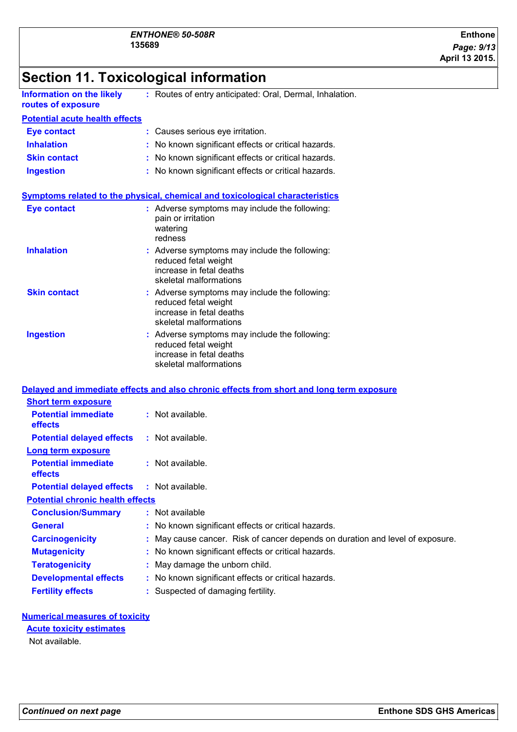# **Section 11. Toxicological information**

| <b>Information on the likely</b><br>routes of exposure | : Routes of entry anticipated: Oral, Dermal, Inhalation.                                                                    |
|--------------------------------------------------------|-----------------------------------------------------------------------------------------------------------------------------|
| <b>Potential acute health effects</b>                  |                                                                                                                             |
| <b>Eye contact</b>                                     | : Causes serious eye irritation.                                                                                            |
| <b>Inhalation</b>                                      | : No known significant effects or critical hazards.                                                                         |
| <b>Skin contact</b>                                    | : No known significant effects or critical hazards.                                                                         |
| <b>Ingestion</b>                                       | : No known significant effects or critical hazards.                                                                         |
|                                                        | Symptoms related to the physical, chemical and toxicological characteristics                                                |
| <b>Eye contact</b>                                     | : Adverse symptoms may include the following:<br>pain or irritation<br>watering<br>redness                                  |
| <b>Inhalation</b>                                      | : Adverse symptoms may include the following:<br>reduced fetal weight<br>increase in fetal deaths<br>skeletal malformations |
| <b>Skin contact</b>                                    | : Adverse symptoms may include the following:<br>reduced fetal weight<br>increase in fetal deaths<br>skeletal malformations |
| <b>Ingestion</b>                                       | : Adverse symptoms may include the following:<br>reduced fetal weight<br>increase in fetal deaths<br>skeletal malformations |
|                                                        | Delayed and immediate effects and also chronic effects from short and long term exposure                                    |
| <b>Short term exposure</b>                             |                                                                                                                             |
| <b>Potential immediate</b><br>effects                  | : Not available.                                                                                                            |
| <b>Potential delayed effects</b>                       | : Not available.                                                                                                            |
| Long term exposure                                     |                                                                                                                             |
| <b>Potential immediate</b><br>effects                  | : Not available.                                                                                                            |
| <b>Potential delayed effects</b>                       | : Not available.                                                                                                            |
| <b>Potential chronic health effects</b>                |                                                                                                                             |
| <b>Conclusion/Summary</b>                              | : Not available                                                                                                             |
| <b>General</b>                                         | No known significant effects or critical hazards.                                                                           |
| <b>Carcinogenicity</b>                                 | May cause cancer. Risk of cancer depends on duration and level of exposure.                                                 |
| <b>Mutagenicity</b>                                    | No known significant effects or critical hazards.                                                                           |
| <b>Teratogenicity</b>                                  | May damage the unborn child.                                                                                                |
| <b>Developmental effects</b>                           | No known significant effects or critical hazards.                                                                           |
| <b>Fertility effects</b>                               | Suspected of damaging fertility.                                                                                            |

#### **Numerical measures of toxicity**

#### **Acute toxicity estimates**

Not available.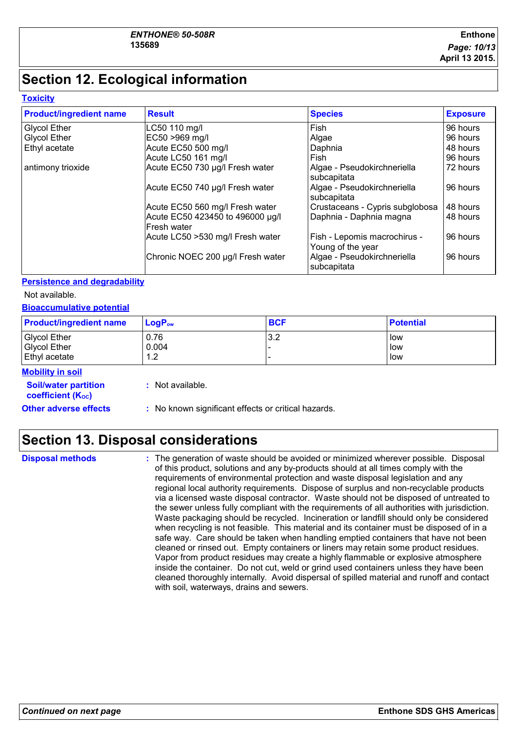# **Section 12. Ecological information**

#### **Toxicity**

| <b>Product/ingredient name</b> | <b>Result</b>                                          | <b>Species</b>                                    | <b>Exposure</b> |
|--------------------------------|--------------------------------------------------------|---------------------------------------------------|-----------------|
| <b>Glycol Ether</b>            | LC50 110 mg/l                                          | <b>Fish</b>                                       | 96 hours        |
| <b>Glycol Ether</b>            | EC50 >969 mg/l                                         | Algae                                             | 96 hours        |
| Ethyl acetate                  | Acute EC50 500 mg/l                                    | Daphnia                                           | 48 hours        |
|                                | Acute LC50 161 mg/l                                    | Fish                                              | 96 hours        |
| antimony trioxide              | Acute EC50 730 µg/l Fresh water                        | Algae - Pseudokirchneriella<br>subcapitata        | 72 hours        |
|                                | Acute EC50 740 µg/l Fresh water                        | Algae - Pseudokirchneriella<br>subcapitata        | 96 hours        |
|                                | Acute EC50 560 mg/l Fresh water                        | Crustaceans - Cypris subglobosa                   | 48 hours        |
|                                | Acute EC50 423450 to 496000 µg/l<br><b>Fresh water</b> | Daphnia - Daphnia magna                           | 48 hours        |
|                                | Acute LC50 >530 mg/l Fresh water                       | Fish - Lepomis macrochirus -<br>Young of the year | 96 hours        |
|                                | Chronic NOEC 200 µg/l Fresh water                      | Algae - Pseudokirchneriella<br>subcapitata        | 96 hours        |

#### **Persistence and degradability**

Not available.

#### **Bioaccumulative potential**

| <b>Product/ingredient name</b> | $LogP_{ow}$ | <b>BCF</b> | <b>Potential</b> |
|--------------------------------|-------------|------------|------------------|
| <b>Glycol Ether</b>            | 0.76        | 3.2        | low              |
| <b>Glycol Ether</b>            | 0.004       |            | low              |
| <b>Ethyl acetate</b>           | 12<br>ے ،   |            | low              |
| Mobility in eail               |             |            |                  |

#### **Mobility in soil**

| <b>Soil/water partition</b><br>coefficient (K <sub>oc</sub> ) | : Not available.                                    |
|---------------------------------------------------------------|-----------------------------------------------------|
| <b>Other adverse effects</b>                                  | : No known significant effects or critical hazards. |

# **Section 13. Disposal considerations**

**Disposal methods :**

The generation of waste should be avoided or minimized wherever possible. Disposal of this product, solutions and any by-products should at all times comply with the requirements of environmental protection and waste disposal legislation and any regional local authority requirements. Dispose of surplus and non-recyclable products via a licensed waste disposal contractor. Waste should not be disposed of untreated to the sewer unless fully compliant with the requirements of all authorities with jurisdiction. Waste packaging should be recycled. Incineration or landfill should only be considered when recycling is not feasible. This material and its container must be disposed of in a safe way. Care should be taken when handling emptied containers that have not been cleaned or rinsed out. Empty containers or liners may retain some product residues. Vapor from product residues may create a highly flammable or explosive atmosphere inside the container. Do not cut, weld or grind used containers unless they have been cleaned thoroughly internally. Avoid dispersal of spilled material and runoff and contact with soil, waterways, drains and sewers.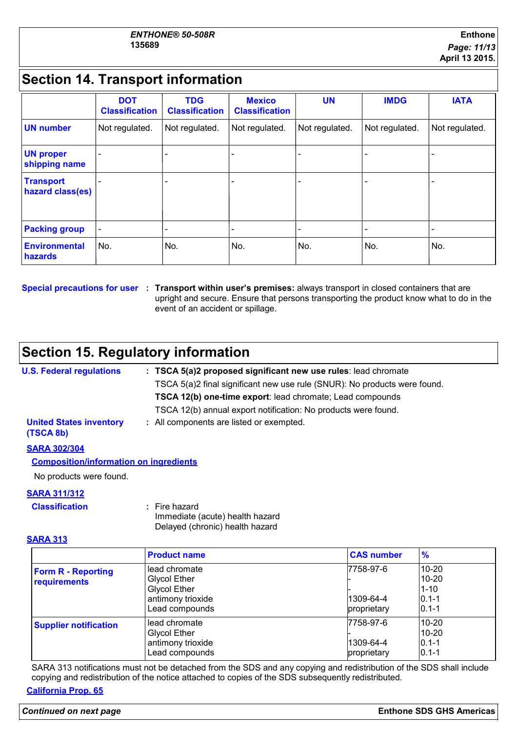# **Section 14. Transport information**

|                                      | <b>DOT</b><br><b>Classification</b> | <b>TDG</b><br><b>Classification</b> | <b>Mexico</b><br><b>Classification</b> | <b>UN</b>      | <b>IMDG</b>    | <b>IATA</b>              |
|--------------------------------------|-------------------------------------|-------------------------------------|----------------------------------------|----------------|----------------|--------------------------|
| <b>UN number</b>                     | Not regulated.                      | Not regulated.                      | Not regulated.                         | Not regulated. | Not regulated. | Not regulated.           |
| <b>UN proper</b><br>shipping name    |                                     |                                     |                                        |                |                |                          |
| <b>Transport</b><br>hazard class(es) |                                     |                                     |                                        |                |                | $\overline{\phantom{0}}$ |
| <b>Packing group</b>                 |                                     |                                     |                                        |                |                | -                        |
| Environmental<br>hazards             | No.                                 | No.                                 | No.                                    | No.            | No.            | No.                      |

**Special precautions for user Transport within user's premises:** always transport in closed containers that are **:** upright and secure. Ensure that persons transporting the product know what to do in the event of an accident or spillage.

# **Section 15. Regulatory information**

| <b>U.S. Federal regulations</b>             | : TSCA 5(a)2 proposed significant new use rules: lead chromate            |
|---------------------------------------------|---------------------------------------------------------------------------|
|                                             | TSCA 5(a)2 final significant new use rule (SNUR): No products were found. |
|                                             | <b>TSCA 12(b) one-time export:</b> lead chromate; Lead compounds          |
|                                             | TSCA 12(b) annual export notification: No products were found.            |
| <b>United States inventory</b><br>(TSCA 8b) | : All components are listed or exempted.                                  |
| <b>SARA 302/304</b>                         |                                                                           |
|                                             |                                                                           |

#### **Composition/information on ingredients**

No products were found.

#### **SARA 311/312**

**Classification :** Fire hazard

Immediate (acute) health hazard Delayed (chronic) health hazard

**SARA 313**

|                                           | <b>Product name</b>                                                                                | <b>CAS number</b>                     | %                                                            |
|-------------------------------------------|----------------------------------------------------------------------------------------------------|---------------------------------------|--------------------------------------------------------------|
| <b>Form R - Reporting</b><br>requirements | lead chromate<br><b>Glycol Ether</b><br><b>Glycol Ether</b><br>antimony trioxide<br>Lead compounds | 7758-97-6<br>1309-64-4<br>proprietary | $10 - 20$<br>$10 - 20$<br>$1 - 10$<br>$0.1 - 1$<br>$0.1 - 1$ |
| <b>Supplier notification</b>              | lead chromate<br>Glycol Ether<br>antimony trioxide<br>Lead compounds                               | 7758-97-6<br>1309-64-4<br>proprietary | $10 - 20$<br>$10 - 20$<br>$0.1 - 1$<br>$0.1 - 1$             |

SARA 313 notifications must not be detached from the SDS and any copying and redistribution of the SDS shall include copying and redistribution of the notice attached to copies of the SDS subsequently redistributed.

#### **California Prop. 65**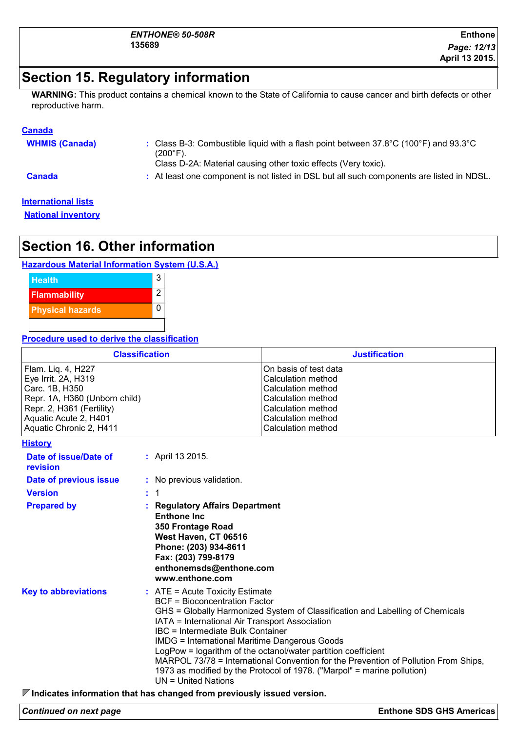## **Section 15. Regulatory information**

**WARNING:** This product contains a chemical known to the State of California to cause cancer and birth defects or other reproductive harm.

#### **Canada**

| <b>WHMIS (Canada)</b> | : Class B-3: Combustible liquid with a flash point between $37.8^{\circ}$ C (100 $^{\circ}$ F) and 93.3 $^{\circ}$ C<br>(200°F).<br>Class D-2A: Material causing other toxic effects (Very toxic). |
|-----------------------|----------------------------------------------------------------------------------------------------------------------------------------------------------------------------------------------------|
| <b>Canada</b>         | : At least one component is not listed in DSL but all such components are listed in NDSL.                                                                                                          |

#### **International lists**

**National inventory**

# **Section 16. Other information**

#### **Hazardous Material Information System (U.S.A.)**



#### **Procedure used to derive the classification**

| <b>Classification</b>                                                                                                                                                         |    |                                                                                                                                                                                                                                                                                                                                                                                                                                                                                                                                                                       | <b>Justification</b>                                                                                                                                                    |
|-------------------------------------------------------------------------------------------------------------------------------------------------------------------------------|----|-----------------------------------------------------------------------------------------------------------------------------------------------------------------------------------------------------------------------------------------------------------------------------------------------------------------------------------------------------------------------------------------------------------------------------------------------------------------------------------------------------------------------------------------------------------------------|-------------------------------------------------------------------------------------------------------------------------------------------------------------------------|
| Flam. Liq. 4, H227<br>Eye Irrit. 2A, H319<br>Carc. 1B, H350<br>Repr. 1A, H360 (Unborn child)<br>Repr. 2, H361 (Fertility)<br>Aquatic Acute 2, H401<br>Aquatic Chronic 2, H411 |    |                                                                                                                                                                                                                                                                                                                                                                                                                                                                                                                                                                       | On basis of test data<br><b>Calculation method</b><br><b>Calculation method</b><br>Calculation method<br>Calculation method<br>Calculation method<br>Calculation method |
| <u>History</u>                                                                                                                                                                |    |                                                                                                                                                                                                                                                                                                                                                                                                                                                                                                                                                                       |                                                                                                                                                                         |
| Date of issue/Date of<br>revision                                                                                                                                             |    | : April 13 2015.                                                                                                                                                                                                                                                                                                                                                                                                                                                                                                                                                      |                                                                                                                                                                         |
| Date of previous issue                                                                                                                                                        |    | : No previous validation.                                                                                                                                                                                                                                                                                                                                                                                                                                                                                                                                             |                                                                                                                                                                         |
| <b>Version</b>                                                                                                                                                                | ÷. | -1                                                                                                                                                                                                                                                                                                                                                                                                                                                                                                                                                                    |                                                                                                                                                                         |
| <b>Prepared by</b>                                                                                                                                                            |    | <b>Regulatory Affairs Department</b><br><b>Enthone Inc.</b><br>350 Frontage Road<br>West Haven, CT 06516<br>Phone: (203) 934-8611<br>Fax: (203) 799-8179<br>enthonemsds@enthone.com<br>www.enthone.com                                                                                                                                                                                                                                                                                                                                                                |                                                                                                                                                                         |
| <b>Key to abbreviations</b>                                                                                                                                                   |    | $:$ ATE = Acute Toxicity Estimate<br><b>BCF</b> = Bioconcentration Factor<br>GHS = Globally Harmonized System of Classification and Labelling of Chemicals<br>IATA = International Air Transport Association<br>IBC = Intermediate Bulk Container<br><b>IMDG = International Maritime Dangerous Goods</b><br>LogPow = logarithm of the octanol/water partition coefficient<br>MARPOL 73/78 = International Convention for the Prevention of Pollution From Ships,<br>1973 as modified by the Protocol of 1978. ("Marpol" = marine pollution)<br>$UN = United Nations$ |                                                                                                                                                                         |

**Indicates information that has changed from previously issued version.**